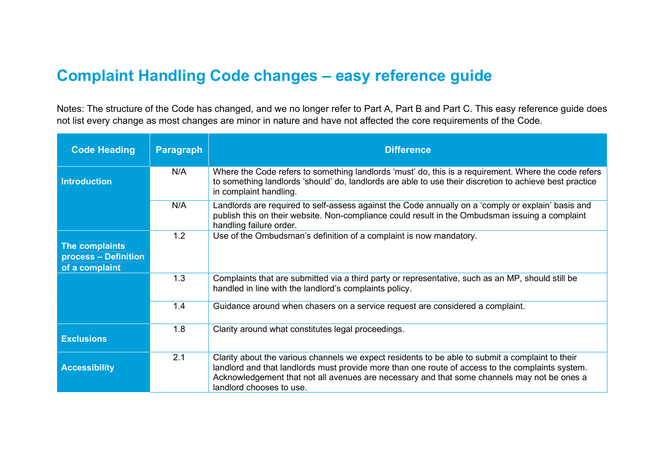## **Complaint Handling Code changes – easy reference guide**

Notes: The structure of the Code has changed, and we no longer refer to Part A, Part B and Part C. This easy reference guide does not list every change as most changes are minor in nature and have not affected the core requirements of the Code.

| <b>Code Heading</b>                                      | <b>Paragraph</b> | <b>Difference</b>                                                                                                                                                                                                                                                                                                               |
|----------------------------------------------------------|------------------|---------------------------------------------------------------------------------------------------------------------------------------------------------------------------------------------------------------------------------------------------------------------------------------------------------------------------------|
| <b>Introduction</b>                                      | N/A              | Where the Code refers to something landlords 'must' do, this is a requirement. Where the code refers<br>to something landlords 'should' do, landlords are able to use their discretion to achieve best practice<br>in complaint handling.                                                                                       |
|                                                          | N/A              | Landlords are required to self-assess against the Code annually on a 'comply or explain' basis and<br>publish this on their website. Non-compliance could result in the Ombudsman issuing a complaint<br>handling failure order.                                                                                                |
| The complaints<br>process - Definition<br>of a complaint | 1.2              | Use of the Ombudsman's definition of a complaint is now mandatory.                                                                                                                                                                                                                                                              |
|                                                          | 1.3              | Complaints that are submitted via a third party or representative, such as an MP, should still be<br>handled in line with the landlord's complaints policy.                                                                                                                                                                     |
|                                                          | 1.4              | Guidance around when chasers on a service request are considered a complaint.                                                                                                                                                                                                                                                   |
| <b>Exclusions</b>                                        | 1.8              | Clarity around what constitutes legal proceedings.                                                                                                                                                                                                                                                                              |
| <b>Accessibility</b>                                     | 2.1              | Clarity about the various channels we expect residents to be able to submit a complaint to their<br>landlord and that landlords must provide more than one route of access to the complaints system.<br>Acknowledgement that not all avenues are necessary and that some channels may not be ones a<br>landlord chooses to use. |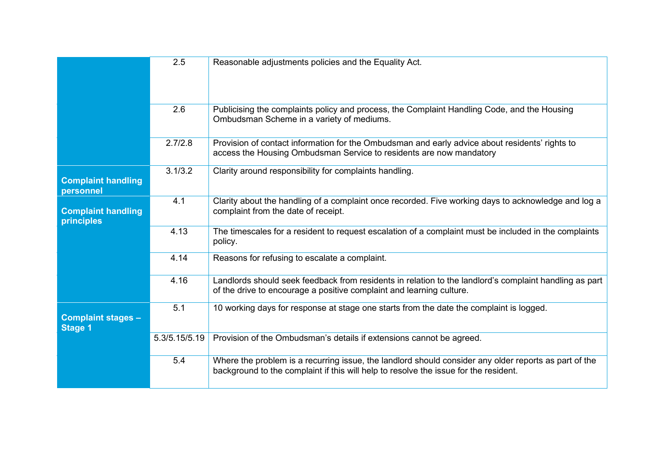|                                             | 2.5           | Reasonable adjustments policies and the Equality Act.                                                                                                                                         |
|---------------------------------------------|---------------|-----------------------------------------------------------------------------------------------------------------------------------------------------------------------------------------------|
|                                             | 2.6           | Publicising the complaints policy and process, the Complaint Handling Code, and the Housing<br>Ombudsman Scheme in a variety of mediums.                                                      |
|                                             | 2.7/2.8       | Provision of contact information for the Ombudsman and early advice about residents' rights to<br>access the Housing Ombudsman Service to residents are now mandatory                         |
| <b>Complaint handling</b><br>personnel      | 3.1/3.2       | Clarity around responsibility for complaints handling.                                                                                                                                        |
| <b>Complaint handling</b><br>principles     | 4.1           | Clarity about the handling of a complaint once recorded. Five working days to acknowledge and log a<br>complaint from the date of receipt.                                                    |
|                                             | 4.13          | The timescales for a resident to request escalation of a complaint must be included in the complaints<br>policy.                                                                              |
|                                             | 4.14          | Reasons for refusing to escalate a complaint.                                                                                                                                                 |
|                                             | 4.16          | Landlords should seek feedback from residents in relation to the landlord's complaint handling as part<br>of the drive to encourage a positive complaint and learning culture.                |
| <b>Complaint stages -</b><br><b>Stage 1</b> | 5.1           | 10 working days for response at stage one starts from the date the complaint is logged.                                                                                                       |
|                                             | 5.3/5.15/5.19 | Provision of the Ombudsman's details if extensions cannot be agreed.                                                                                                                          |
|                                             | 5.4           | Where the problem is a recurring issue, the landlord should consider any older reports as part of the<br>background to the complaint if this will help to resolve the issue for the resident. |